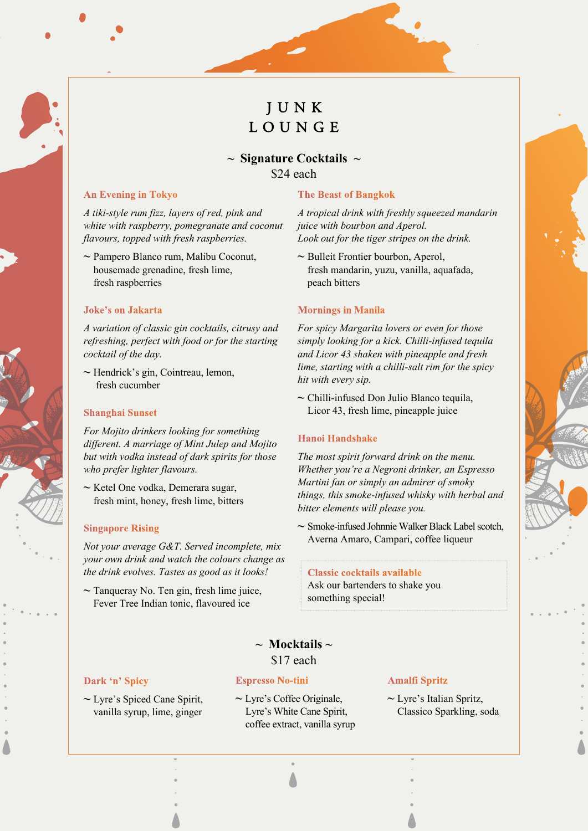# **JUNK** LOUNGE

# **~ Signature Cocktails ~** \$24 each

#### **An Evening in Tokyo**

*A tiki-style rum fizz, layers of red, pink and white with raspberry, pomegranate and coconut flavours, topped with fresh raspberries.*

**~** Pampero Blanco rum, Malibu Coconut, housemade grenadine, fresh lime, fresh raspberries

#### **Joke's on Jakarta**

*A variation of classic gin cocktails, citrusy and refreshing, perfect with food or for the starting cocktail of the day.*

**~** Hendrick's gin, Cointreau, lemon, fresh cucumber

#### **Shanghai Sunset**

*For Mojito drinkers looking for something different. A marriage of Mint Julep and Mojito but with vodka instead of dark spirits for those who prefer lighter flavours.*

**~** Ketel One vodka, Demerara sugar, fresh mint, honey, fresh lime, bitters

#### **Singapore Rising**

*Not your average G&T. Served incomplete, mix your own drink and watch the colours change as the drink evolves. Tastes as good as it looks!*

**~** Tanqueray No. Ten gin, fresh lime juice, Fever Tree Indian tonic, flavoured ice

#### **The Beast of Bangkok**

*A tropical drink with freshly squeezed mandarin juice with bourbon and Aperol. Look out for the tiger stripes on the drink.*

**~** Bulleit Frontier bourbon, Aperol, fresh mandarin, yuzu, vanilla, aquafada, peach bitters

#### **Mornings in Manila**

*For spicy Margarita lovers or even for those simply looking for a kick. Chilli-infused tequila and Licor 43 shaken with pineapple and fresh lime, starting with a chilli-salt rim for the spicy hit with every sip.* 

**~** Chilli-infused Don Julio Blanco tequila, Licor 43, fresh lime, pineapple juice

#### **Hanoi Handshake**

*The most spirit forward drink on the menu. Whether you're a Negroni drinker, an Espresso Martini fan or simply an admirer of smoky things, this smoke-infused whisky with herbal and bitter elements will please you.* 

**~** Smoke-infused Johnnie Walker Black Label scotch, Averna Amaro, Campari, coffee liqueur

#### **Classic cocktails available**

Ask our bartenders to shake you something special!

# **~ Mocktails ~** \$17 each

#### **Dark 'n' Spicy**

#### **Espresso No-tini**

**~** Lyre's Spiced Cane Spirit, vanilla syrup, lime, ginger

**~** Lyre's Coffee Originale, Lyre's White Cane Spirit, coffee extract, vanilla syrup

## **Amalfi Spritz**

**~** Lyre's Italian Spritz, Classico Sparkling, soda